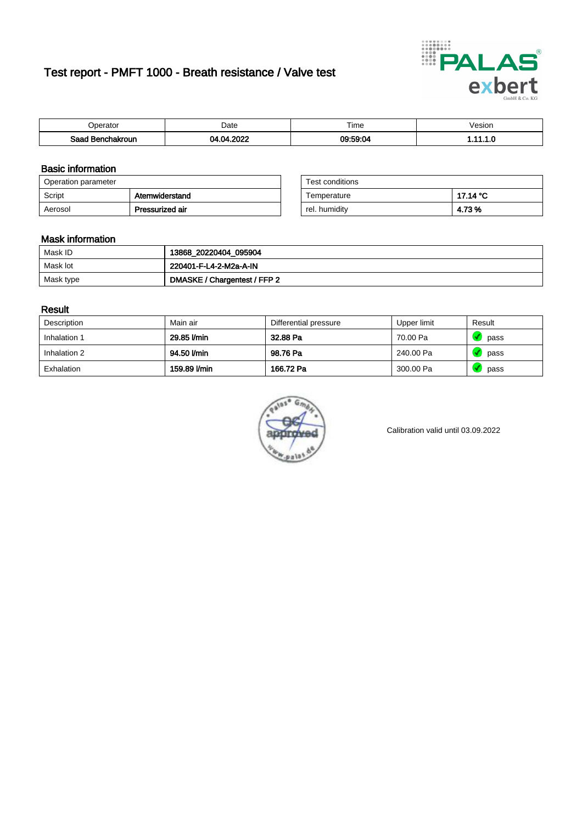# Test report - PMFT 1000 - Breath resistance / Valve test



| )perator              | Date         | $- \cdot$<br>ime | /esion |
|-----------------------|--------------|------------------|--------|
| Saad<br>าchakroun<br> | 2022<br>- 17 | 09:59:04         | .      |

### Basic information

| Operation parameter |                 | Test conditions |          |
|---------------------|-----------------|-----------------|----------|
| Script              | Atemwiderstand  | Temperature     | 17.14 °C |
| Aerosol             | Pressurized air | rel. humidity   | 4.73%    |

| Test conditions |          |
|-----------------|----------|
| Temperature     | 17.14 °C |
| rel. humidity   | 4.73 %   |

#### Mask information

| Mask ID   | 13868_20220404_095904        |
|-----------|------------------------------|
| Mask lot  | 220401-F-L4-2-M2a-A-IN       |
| Mask type | DMASKE / Chargentest / FFP 2 |

### Result

| Description  | Main air     | Differential pressure | Upper limit | Result |
|--------------|--------------|-----------------------|-------------|--------|
| Inhalation 1 | 29.85 l/min  | 32.88 Pa              | 70.00 Pa    | pass   |
| Inhalation 2 | 94.50 l/min  | 98.76 Pa              | 240.00 Pa   | pass   |
| Exhalation   | 159.89 l/min | 166.72 Pa             | 300.00 Pa   | pass   |



Calibration valid until 03.09.2022